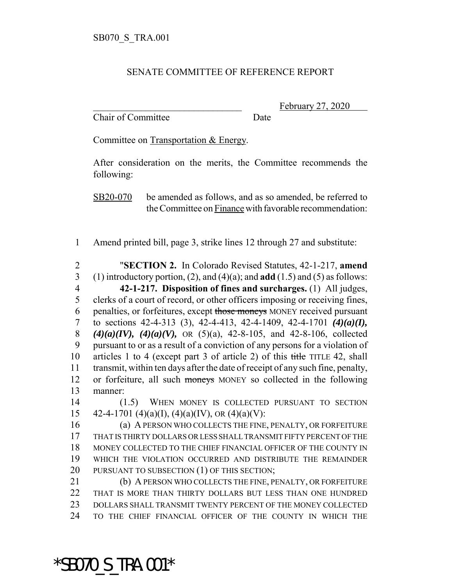## SENATE COMMITTEE OF REFERENCE REPORT

Chair of Committee Date

February 27, 2020

Committee on Transportation & Energy.

After consideration on the merits, the Committee recommends the following:

SB20-070 be amended as follows, and as so amended, be referred to the Committee on Finance with favorable recommendation:

Amend printed bill, page 3, strike lines 12 through 27 and substitute:

 "**SECTION 2.** In Colorado Revised Statutes, 42-1-217, **amend** (1) introductory portion, (2), and (4)(a); and **add** (1.5) and (5) as follows: **42-1-217. Disposition of fines and surcharges.** (1) All judges, clerks of a court of record, or other officers imposing or receiving fines, 6 penalties, or forfeitures, except those moneys MONEY received pursuant to sections 42-4-313 (3), 42-4-413, 42-4-1409, 42-4-1701 *(4)(a)(I), (4)(a)(IV), (4)(a)(V),* OR (5)(a), 42-8-105, and 42-8-106, collected pursuant to or as a result of a conviction of any persons for a violation of articles 1 to 4 (except part 3 of article 2) of this title TITLE 42, shall transmit, within ten days after the date of receipt of any such fine, penalty, or forfeiture, all such moneys MONEY so collected in the following manner:

 (1.5) WHEN MONEY IS COLLECTED PURSUANT TO SECTION 15 42-4-1701 (4)(a)(I), (4)(a)(IV), OR (4)(a)(V):

 (a) A PERSON WHO COLLECTS THE FINE, PENALTY, OR FORFEITURE THAT IS THIRTY DOLLARS OR LESS SHALL TRANSMIT FIFTY PERCENT OF THE MONEY COLLECTED TO THE CHIEF FINANCIAL OFFICER OF THE COUNTY IN WHICH THE VIOLATION OCCURRED AND DISTRIBUTE THE REMAINDER 20 PURSUANT TO SUBSECTION (1) OF THIS SECTION;

 (b) A PERSON WHO COLLECTS THE FINE, PENALTY, OR FORFEITURE THAT IS MORE THAN THIRTY DOLLARS BUT LESS THAN ONE HUNDRED DOLLARS SHALL TRANSMIT TWENTY PERCENT OF THE MONEY COLLECTED TO THE CHIEF FINANCIAL OFFICER OF THE COUNTY IN WHICH THE

\*SB070\_S\_TRA.001\*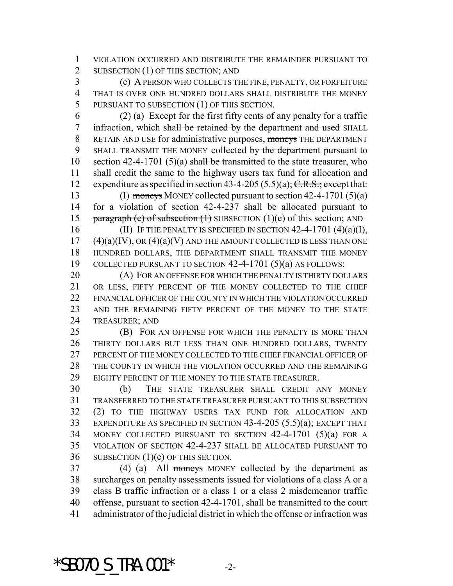VIOLATION OCCURRED AND DISTRIBUTE THE REMAINDER PURSUANT TO 2 SUBSECTION (1) OF THIS SECTION; AND

 (c) A PERSON WHO COLLECTS THE FINE, PENALTY, OR FORFEITURE THAT IS OVER ONE HUNDRED DOLLARS SHALL DISTRIBUTE THE MONEY PURSUANT TO SUBSECTION (1) OF THIS SECTION.

 (2) (a) Except for the first fifty cents of any penalty for a traffic 7 infraction, which shall be retained by the department and used SHALL 8 RETAIN AND USE for administrative purposes, moneys THE DEPARTMENT 9 SHALL TRANSMIT THE MONEY collected by the department pursuant to 10 section 42-4-1701 (5)(a) shall be transmitted to the state treasurer, who shall credit the same to the highway users tax fund for allocation and 12 expenditure as specified in section 43-4-205 (5.5)(a);  $C.R.S.:$  except that:

 (I) moneys MONEY collected pursuant to section 42-4-1701 (5)(a) for a violation of section 42-4-237 shall be allocated pursuant to 15 paragraph (e) of subsection  $(1)$  SUBSECTION  $(1)(e)$  of this section; AND

16 (II) IF THE PENALTY IS SPECIFIED IN SECTION  $42-4-1701$   $(4)(a)(I)$ , (4)(a)(IV), OR (4)(a)(V) AND THE AMOUNT COLLECTED IS LESS THAN ONE HUNDRED DOLLARS, THE DEPARTMENT SHALL TRANSMIT THE MONEY COLLECTED PURSUANT TO SECTION 42-4-1701 (5)(a) AS FOLLOWS:

20 (A) FOR AN OFFENSE FOR WHICH THE PENALTY IS THIRTY DOLLARS 21 OR LESS, FIFTY PERCENT OF THE MONEY COLLECTED TO THE CHIEF 22 FINANCIAL OFFICER OF THE COUNTY IN WHICH THE VIOLATION OCCURRED AND THE REMAINING FIFTY PERCENT OF THE MONEY TO THE STATE TREASURER; AND

 (B) FOR AN OFFENSE FOR WHICH THE PENALTY IS MORE THAN THIRTY DOLLARS BUT LESS THAN ONE HUNDRED DOLLARS, TWENTY PERCENT OF THE MONEY COLLECTED TO THE CHIEF FINANCIAL OFFICER OF THE COUNTY IN WHICH THE VIOLATION OCCURRED AND THE REMAINING EIGHTY PERCENT OF THE MONEY TO THE STATE TREASURER.

 (b) THE STATE TREASURER SHALL CREDIT ANY MONEY TRANSFERRED TO THE STATE TREASURER PURSUANT TO THIS SUBSECTION (2) TO THE HIGHWAY USERS TAX FUND FOR ALLOCATION AND EXPENDITURE AS SPECIFIED IN SECTION 43-4-205 (5.5)(a); EXCEPT THAT MONEY COLLECTED PURSUANT TO SECTION 42-4-1701 (5)(a) FOR A VIOLATION OF SECTION 42-4-237 SHALL BE ALLOCATED PURSUANT TO SUBSECTION (1)(e) OF THIS SECTION.

37 (4) (a) All moneys MONEY collected by the department as surcharges on penalty assessments issued for violations of a class A or a class B traffic infraction or a class 1 or a class 2 misdemeanor traffic offense, pursuant to section 42-4-1701, shall be transmitted to the court administrator of the judicial district in which the offense or infraction was

\*SB070 S TRA.001\*  $-2$ -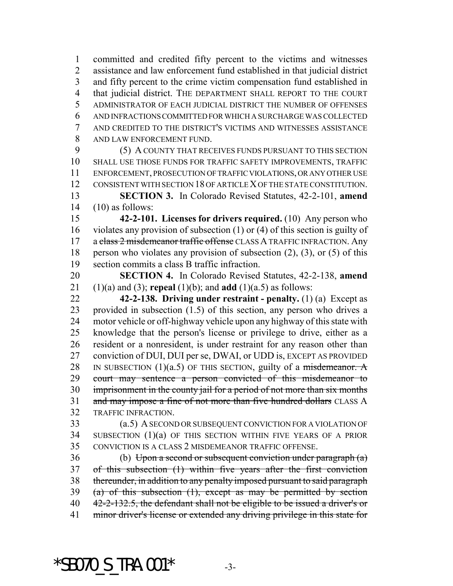committed and credited fifty percent to the victims and witnesses assistance and law enforcement fund established in that judicial district and fifty percent to the crime victim compensation fund established in that judicial district. THE DEPARTMENT SHALL REPORT TO THE COURT ADMINISTRATOR OF EACH JUDICIAL DISTRICT THE NUMBER OF OFFENSES AND INFRACTIONS COMMITTED FOR WHICH A SURCHARGE WAS COLLECTED AND CREDITED TO THE DISTRICT'S VICTIMS AND WITNESSES ASSISTANCE AND LAW ENFORCEMENT FUND.

 (5) A COUNTY THAT RECEIVES FUNDS PURSUANT TO THIS SECTION SHALL USE THOSE FUNDS FOR TRAFFIC SAFETY IMPROVEMENTS, TRAFFIC ENFORCEMENT, PROSECUTION OF TRAFFIC VIOLATIONS, OR ANY OTHER USE CONSISTENT WITH SECTION 18 OF ARTICLE X OF THE STATE CONSTITUTION. **SECTION 3.** In Colorado Revised Statutes, 42-2-101, **amend**

(10) as follows:

 **42-2-101. Licenses for drivers required.** (10) Any person who violates any provision of subsection (1) or (4) of this section is guilty of 17 a class 2 misdemeanor traffic offense CLASS A TRAFFIC INFRACTION. Any person who violates any provision of subsection (2), (3), or (5) of this section commits a class B traffic infraction.

 **SECTION 4.** In Colorado Revised Statutes, 42-2-138, **amend** (1)(a) and (3); **repeal** (1)(b); and **add** (1)(a.5) as follows:

 **42-2-138. Driving under restraint - penalty.** (1) (a) Except as provided in subsection (1.5) of this section, any person who drives a motor vehicle or off-highway vehicle upon any highway of this state with knowledge that the person's license or privilege to drive, either as a resident or a nonresident, is under restraint for any reason other than conviction of DUI, DUI per se, DWAI, or UDD is, EXCEPT AS PROVIDED 28 IN SUBSECTION  $(1)(a.5)$  OF THIS SECTION, guilty of a misdemeanor. A court may sentence a person convicted of this misdemeanor to imprisonment in the county jail for a period of not more than six months 31 and may impose a fine of not more than five hundred dollars CLASS A TRAFFIC INFRACTION.

 (a.5) A SECOND OR SUBSEQUENT CONVICTION FOR A VIOLATION OF SUBSECTION (1)(a) OF THIS SECTION WITHIN FIVE YEARS OF A PRIOR CONVICTION IS A CLASS 2 MISDEMEANOR TRAFFIC OFFENSE.

 (b) Upon a second or subsequent conviction under paragraph (a) of this subsection (1) within five years after the first conviction thereunder, in addition to any penalty imposed pursuant to said paragraph 39 (a) of this subsection  $(1)$ , except as may be permitted by section 40 42-2-132.5, the defendant shall not be eligible to be issued a driver's or minor driver's license or extended any driving privilege in this state for

 $*$ SB070 S TRA.001 $*$  -3-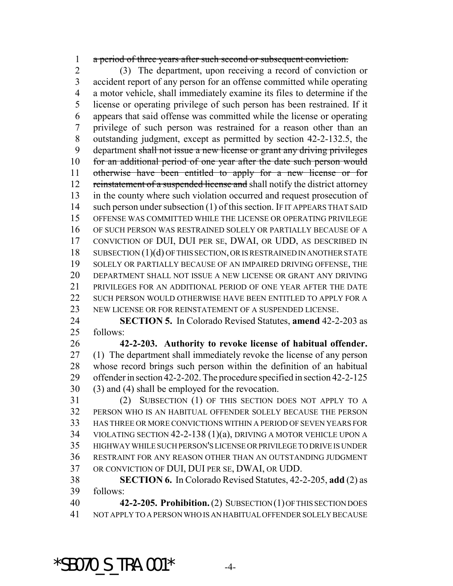a period of three years after such second or subsequent conviction.

 (3) The department, upon receiving a record of conviction or accident report of any person for an offense committed while operating a motor vehicle, shall immediately examine its files to determine if the license or operating privilege of such person has been restrained. If it appears that said offense was committed while the license or operating privilege of such person was restrained for a reason other than an outstanding judgment, except as permitted by section 42-2-132.5, the department shall not issue a new license or grant any driving privileges for an additional period of one year after the date such person would otherwise have been entitled to apply for a new license or for 12 reinstatement of a suspended license and shall notify the district attorney in the county where such violation occurred and request prosecution of 14 such person under subsection (1) of this section. IF IT APPEARS THAT SAID OFFENSE WAS COMMITTED WHILE THE LICENSE OR OPERATING PRIVILEGE OF SUCH PERSON WAS RESTRAINED SOLELY OR PARTIALLY BECAUSE OF A CONVICTION OF DUI, DUI PER SE, DWAI, OR UDD, AS DESCRIBED IN SUBSECTION (1)(d) OF THIS SECTION, OR IS RESTRAINED IN ANOTHER STATE SOLELY OR PARTIALLY BECAUSE OF AN IMPAIRED DRIVING OFFENSE, THE DEPARTMENT SHALL NOT ISSUE A NEW LICENSE OR GRANT ANY DRIVING PRIVILEGES FOR AN ADDITIONAL PERIOD OF ONE YEAR AFTER THE DATE 22 SUCH PERSON WOULD OTHERWISE HAVE BEEN ENTITLED TO APPLY FOR A NEW LICENSE OR FOR REINSTATEMENT OF A SUSPENDED LICENSE.

 **SECTION 5.** In Colorado Revised Statutes, **amend** 42-2-203 as follows:

 **42-2-203. Authority to revoke license of habitual offender.** (1) The department shall immediately revoke the license of any person whose record brings such person within the definition of an habitual offender in section 42-2-202. The procedure specified in section 42-2-125 (3) and (4) shall be employed for the revocation.

 (2) SUBSECTION (1) OF THIS SECTION DOES NOT APPLY TO A PERSON WHO IS AN HABITUAL OFFENDER SOLELY BECAUSE THE PERSON HAS THREE OR MORE CONVICTIONS WITHIN A PERIOD OF SEVEN YEARS FOR VIOLATING SECTION 42-2-138 (1)(a), DRIVING A MOTOR VEHICLE UPON A HIGHWAY WHILE SUCH PERSON'S LICENSE OR PRIVILEGE TO DRIVE IS UNDER RESTRAINT FOR ANY REASON OTHER THAN AN OUTSTANDING JUDGMENT OR CONVICTION OF DUI, DUI PER SE, DWAI, OR UDD.

 **SECTION 6.** In Colorado Revised Statutes, 42-2-205, **add** (2) as follows:

 **42-2-205. Prohibition.** (2) SUBSECTION (1) OF THIS SECTION DOES NOT APPLY TO A PERSON WHO IS AN HABITUAL OFFENDER SOLELY BECAUSE

 $*$ SB070 S TRA.001 $*$  -4-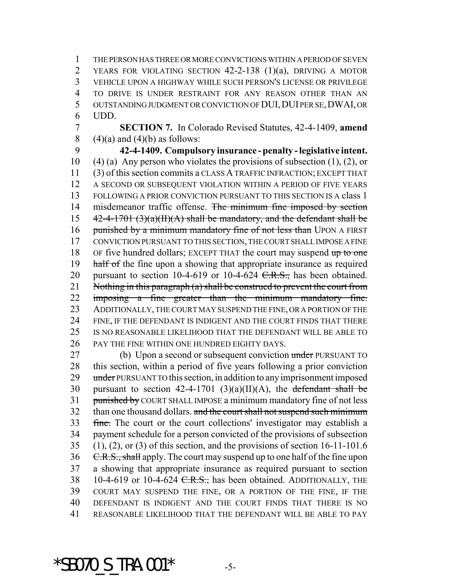THE PERSON HAS THREE OR MORE CONVICTIONS WITHIN A PERIOD OF SEVEN YEARS FOR VIOLATING SECTION 42-2-138 (1)(a), DRIVING A MOTOR VEHICLE UPON A HIGHWAY WHILE SUCH PERSON'S LICENSE OR PRIVILEGE TO DRIVE IS UNDER RESTRAINT FOR ANY REASON OTHER THAN AN OUTSTANDING JUDGMENT OR CONVICTION OF DUI,DUI PER SE,DWAI, OR 6 UDD.

7 **SECTION 7.** In Colorado Revised Statutes, 42-4-1409, **amend** 8  $(4)(a)$  and  $(4)(b)$  as follows:

9 **42-4-1409. Compulsory insurance - penalty - legislative intent.** 10 (4) (a) Any person who violates the provisions of subsection  $(1)$ ,  $(2)$ , or 11 (3) of this section commits a CLASS A TRAFFIC INFRACTION; EXCEPT THAT 12 A SECOND OR SUBSEQUENT VIOLATION WITHIN A PERIOD OF FIVE YEARS 13 FOLLOWING A PRIOR CONVICTION PURSUANT TO THIS SECTION IS A class 1 14 misdemeanor traffic offense. The minimum fine imposed by section 15  $42-4-1701$  (3)(a)(II)(A) shall be mandatory, and the defendant shall be 16 punished by a minimum mandatory fine of not less than UPON A FIRST 17 CONVICTION PURSUANT TO THIS SECTION, THE COURT SHALL IMPOSE A FINE 18 OF five hundred dollars; EXCEPT THAT the court may suspend up to one 19 half of the fine upon a showing that appropriate insurance as required 20 pursuant to section 10-4-619 or 10-4-624  $C.R.S.,$  has been obtained. 21 Nothing in this paragraph (a) shall be construed to prevent the court from 22 imposing a fine greater than the minimum mandatory fine. 23 ADDITIONALLY, THE COURT MAY SUSPEND THE FINE, OR A PORTION OF THE 24 FINE, IF THE DEFENDANT IS INDIGENT AND THE COURT FINDS THAT THERE 25 IS NO REASONABLE LIKELIHOOD THAT THE DEFENDANT WILL BE ABLE TO 26 PAY THE FINE WITHIN ONE HUNDRED EIGHTY DAYS.

27 (b) Upon a second or subsequent conviction under PURSUANT TO 28 this section, within a period of five years following a prior conviction 29 under PURSUANT TO this section, in addition to any imprisonment imposed 30 pursuant to section 42-4-1701 (3)(a)(II)(A), the defendant shall be 31 punished by COURT SHALL IMPOSE a minimum mandatory fine of not less 32 than one thousand dollars. and the court shall not suspend such minimum 33 fine. The court or the court collections' investigator may establish a 34 payment schedule for a person convicted of the provisions of subsection 35 (1), (2), or (3) of this section, and the provisions of section 16-11-101.6 36 C.R.S., shall apply. The court may suspend up to one half of the fine upon 37 a showing that appropriate insurance as required pursuant to section 38 10-4-619 or 10-4-624 <del>C.R.S.,</del> has been obtained. ADDITIONALLY, THE 39 COURT MAY SUSPEND THE FINE, OR A PORTION OF THE FINE, IF THE 40 DEFENDANT IS INDIGENT AND THE COURT FINDS THAT THERE IS NO 41 REASONABLE LIKELIHOOD THAT THE DEFENDANT WILL BE ABLE TO PAY

\*SB070 S TRA.001\*  $-5$ -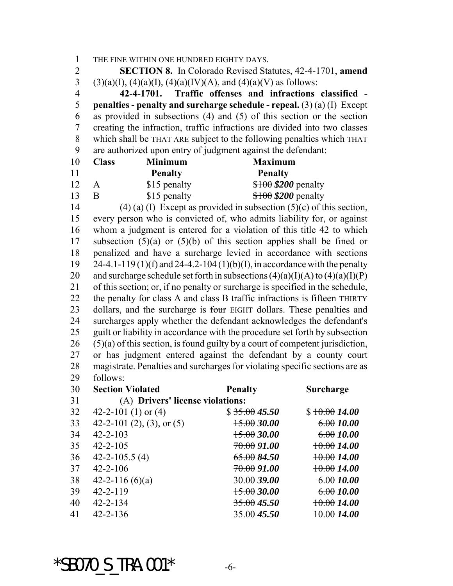THE FINE WITHIN ONE HUNDRED EIGHTY DAYS. **SECTION 8.** In Colorado Revised Statutes, 42-4-1701, **amend** 3 (3)(a)(I), (4)(a)(I), (4)(a)(IV)(A), and (4)(a)(V) as follows: **42-4-1701. Traffic offenses and infractions classified - penalties - penalty and surcharge schedule - repeal.** (3) (a) (I) Except as provided in subsections (4) and (5) of this section or the section creating the infraction, traffic infractions are divided into two classes 8 which shall be THAT ARE subject to the following penalties which THAT are authorized upon entry of judgment against the defendant: **Class Minimum Maximum Penalty Penalty** 12 A \$15 penalty \$100 \$200 penalty 13 B \$15 penalty \$100 \$200 penalty 14 (4) (a) (I) Except as provided in subsection  $(5)(c)$  of this section, every person who is convicted of, who admits liability for, or against whom a judgment is entered for a violation of this title 42 to which subsection (5)(a) or (5)(b) of this section applies shall be fined or penalized and have a surcharge levied in accordance with sections 24-4.1-119 (1)(f) and 24-4.2-104 (1)(b)(I), in accordance with the penalty 20 and surcharge schedule set forth in subsections  $(4)(a)(I)(A)$  to  $(4)(a)(I)(P)$  of this section; or, if no penalty or surcharge is specified in the schedule, 22 the penalty for class A and class B traffic infractions is fifteen THIRTY 23 dollars, and the surcharge is four EIGHT dollars. These penalties and surcharges apply whether the defendant acknowledges the defendant's guilt or liability in accordance with the procedure set forth by subsection (5)(a) of this section, is found guilty by a court of competent jurisdiction, or has judgment entered against the defendant by a county court magistrate. Penalties and surcharges for violating specific sections are as follows: **Section Violated Penalty Surcharge** (A) **Drivers' license violations:** 32 42-2-101 (1) or (4) \$ 35.00 **45.50** \$ 10.00 **14.00** 33 42-2-101 (2), (3), or (5)  $\frac{15.00}{30.00}$  6.00 *10.00*  42-2-103 15.00 *30.00* 6.00 *10.00* 35 42-2-105 70.00 *91.00* <del>10.00</del> 14.00

 42-2-116 (6)(a) 30.00 *39.00* 6.00 *10.00* 42-2-119 15.00 *30.00* 6.00 *10.00* 42-2-134 35.00 *45.50* 10.00 *14.00* 42-2-136 35.00 *45.50* 10.00 *14.00*

 $*$ SB070 S TRA.001 $*$  -6-

36 42-2-105.5 (4) 65.00 **84.50** 10.00 **14.00** 42-2-106 70.00 *91.00* 10.00 *14.00*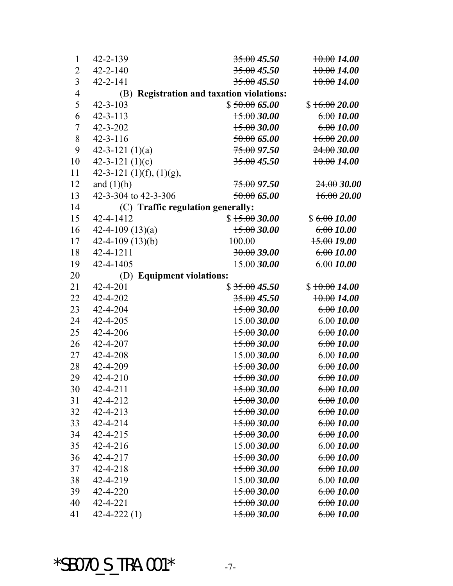| 1              | $42 - 2 - 139$                    | 35.0045.50                                   | 10.0014.00    |
|----------------|-----------------------------------|----------------------------------------------|---------------|
| $\overline{2}$ | $42 - 2 - 140$                    | 35.0045.50                                   | 10.0014.00    |
| $\overline{3}$ | $42 - 2 - 141$                    | 35.0045.50                                   | 10.0014.00    |
| $\overline{4}$ | (B)                               | <b>Registration and taxation violations:</b> |               |
| 5              | $42 - 3 - 103$                    | \$50.0065.00                                 | \$16.0020.00  |
| 6              | $42 - 3 - 113$                    | 15.0030.00                                   | 6.0010.00     |
| $\overline{7}$ | $42 - 3 - 202$                    | 15.0030.00                                   | 6.0010.00     |
| 8              | $42 - 3 - 116$                    | 50.0065.00                                   | 16.0020.00    |
| 9              | 42-3-121 $(1)(a)$                 | 75.0097.50                                   | 24,0030.00    |
| 10             | 42-3-121 $(1)(c)$                 | $35.00$ 45.50                                | 10.0014.00    |
| 11             | 42-3-121 $(1)(f)$ , $(1)(g)$ ,    |                                              |               |
| 12             | and $(1)(h)$                      | <del>75.00</del> 97.50                       | 24.0030.00    |
| 13             | 42-3-304 to 42-3-306              | 50.0065.00                                   | 16.0020.00    |
| 14             | (C) Traffic regulation generally: |                                              |               |
| 15             | 42-4-1412                         | \$15.0030.00                                 | \$6.0010.00   |
| 16             | 42-4-109 $(13)(a)$                | 15.0030.00                                   | 6.0010.00     |
| 17             | 42-4-109 $(13)(b)$                | 100.00                                       | $15.00$ 19.00 |
| 18             | 42-4-1211                         | 30.00 39.00                                  | 6.0010.00     |
| 19             | 42-4-1405                         | 15.0030.00                                   | 6.0010.00     |
| 20             | (D) Equipment violations:         |                                              |               |
| 21             | 42-4-201                          | \$35.0045.50                                 | \$10.0014.00  |
| 22             | 42-4-202                          | $35.00$ 45.50                                | 10.0014.00    |
| 23             | 42-4-204                          | 15.0030.00                                   | 6.0010.00     |
| 24             | 42-4-205                          | 15.0030.00                                   | 6.0010.00     |
| 25             | 42-4-206                          | 15.0030.00                                   | 6.0010.00     |
| 26             | 42-4-207                          | 15.0030.00                                   | 6.0010.00     |
| 27             | 42-4-208                          | 15.0030.00                                   | 6.0010.00     |
| 28             | 42-4-209                          | 15.0030.00                                   | 6.0010.00     |
| 29             | 42-4-210                          | 15.0030.00                                   | 6.0010.00     |
| 30             | $42 - 4 - 211$                    | 15.0030.00                                   | 6.0010.00     |
| 31             | 42-4-212                          | 15.0030.00                                   | 6.0010.00     |
| 32             | $42 - 4 - 213$                    | 15.0030.00                                   | 6.0010.00     |
| 33             | $42 - 4 - 214$                    | 15.0030.00                                   | 6.0010.00     |
| 34             | 42-4-215                          | 15.0030.00                                   | 6.0010.00     |
| 35             | $42 - 4 - 216$                    | 15.0030.00                                   | 6.0010.00     |
| 36             | 42-4-217                          | 15.0030.00                                   | 6.0010.00     |
| 37             | 42-4-218                          | 15.0030.00                                   | 6.0010.00     |
| 38             | 42-4-219                          | 15.0030.00                                   | 6.0010.00     |
| 39             | $42 - 4 - 220$                    | 15.0030.00                                   | 6.0010.00     |
| 40             | 42-4-221                          | 15.0030.00                                   | 6.0010.00     |
| 41             | $42 - 4 - 222(1)$                 | 15.0030.00                                   | 6.0010.00     |

\*SB070\_S\_TRA.001\* -7-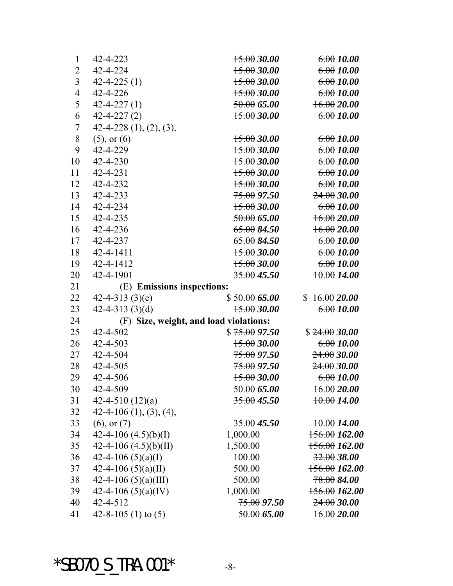| $\mathbf{1}$   | 42-4-223                    | 15.0030.00                             | 6.0010.00                |
|----------------|-----------------------------|----------------------------------------|--------------------------|
| $\overline{2}$ | 42-4-224                    | 15.0030.00                             | 6.0010.00                |
| $\overline{3}$ | $42 - 4 - 225(1)$           | 15.0030.00                             | 6.0010.00                |
| $\overline{4}$ | 42-4-226                    | 15.0030.00                             | 6.0010.00                |
| 5              | $42 - 4 - 227(1)$           | 50.0065.00                             | 16.0020.00               |
| 6              | $42 - 4 - 227(2)$           | 15.0030.00                             | 6.0010.00                |
| $\tau$         | $42-4-228$ $(1), (2), (3),$ |                                        |                          |
| $8\,$          | $(5)$ , or $(6)$            | 15.0030.00                             | 6.0010.00                |
| 9              | 42-4-229                    | 15.0030.00                             | 6.0010.00                |
| 10             | 42-4-230                    | 15.0030.00                             | 6.0010.00                |
| 11             | 42-4-231                    | 15.0030.00                             | 6.0010.00                |
| 12             | 42-4-232                    | 15.0030.00                             | 6.0010.00                |
| 13             | 42-4-233                    | 75.00 97.50                            | 24.0030.00               |
| 14             | 42-4-234                    | 15.0030.00                             | 6.0010.00                |
| 15             | 42-4-235                    | 50.0065.00                             | 16.0020.00               |
| 16             | 42-4-236                    | 65.0084.50                             | 16.0020.00               |
| 17             | 42-4-237                    | 65.0084.50                             | 6.0010.00                |
| 18             | 42-4-1411                   | 15.0030.00                             | 6.0010.00                |
| 19             | 42-4-1412                   | 15.0030.00                             | 6.0010.00                |
| 20             | 42-4-1901                   | 35.0045.50                             | 10.0014.00               |
| 21             | (E) Emissions inspections:  |                                        |                          |
| 22             | 42-4-313 $(3)(c)$           | \$50.0065.00                           | \$16.0020.00             |
| 23             | 42-4-313 $(3)(d)$           | 15.0030.00                             | 6.0010.00                |
| 24             |                             | (F) Size, weight, and load violations: |                          |
| 25             | 42-4-502                    | \$75.0097.50                           | \$24.0030.00             |
| 26             | 42-4-503                    | 15.0030.00                             | 6.0010.00                |
| 27             | 42-4-504                    | <del>75.00</del> 97.50                 | $24.00\,30.00$           |
| 28             | 42-4-505                    | 75.0097.50                             | $24.00\,30.00$           |
| 29             | 42-4-506                    | 15.0030.00                             | 6.0010.00                |
| 30             | 42-4-509                    | 50.0065.00                             | 16.0020.00               |
| 31             | 42-4-510 $(12)(a)$          | $35.00$ 45.50                          | 10.0014.00               |
| 32             | $42-4-106$ (1), (3), (4),   |                                        |                          |
| 33             | $(6)$ , or $(7)$            | $35.00$ 45.50                          | 10.0014.00               |
| 34             | 42-4-106 $(4.5)(b)(I)$      | 1,000.00                               | <del>156.00</del> 162.00 |
| 35             | 42-4-106 $(4.5)(b)(II)$     | 1,500.00                               | <del>156.00</del> 162.00 |
| 36             | 42-4-106 $(5)(a)(I)$        | 100.00                                 | 32.0038.00               |
| 37             | 42-4-106 $(5)(a)(II)$       | 500.00                                 | <del>156.00</del> 162.00 |
| 38             | 42-4-106 $(5)(a)(III)$      | 500.00                                 | $78.00\,84.00$           |
| 39             | 42-4-106 $(5)(a)(IV)$       | 1,000.00                               | 156.00162.00             |
| 40             | 42-4-512                    | <del>75.00</del> 97.50                 | 24,0030.00               |
| 41             | 42-8-105 (1) to $(5)$       | 50.0065.00                             | 16.0020.00               |

 $*SBO70_S_TRA.001*$  -8-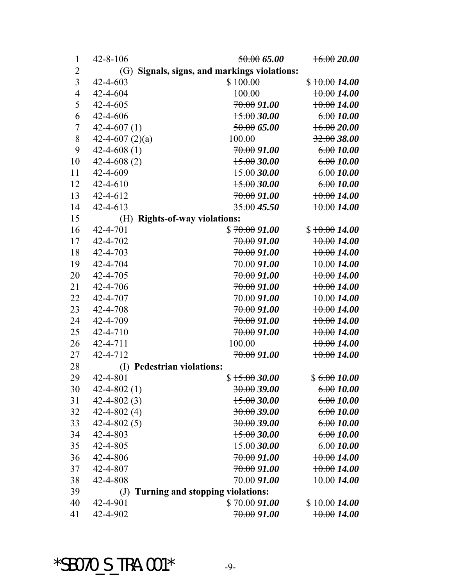| $\mathbf{1}$   | $42 - 8 - 106$                                  | 50.0065.00                       | 16.0020.00    |  |
|----------------|-------------------------------------------------|----------------------------------|---------------|--|
| $\overline{2}$ | Signals, signs, and markings violations:<br>(G) |                                  |               |  |
| $\overline{3}$ | $42 - 4 - 603$                                  | \$100.00                         | \$10.0014.00  |  |
| $\overline{4}$ | 42-4-604                                        | 100.00                           | 10.0014.00    |  |
| 5              | 42-4-605                                        | <del>70.00</del> 91.00           | 10.0014.00    |  |
| 6              | 42-4-606                                        | 15.0030.00                       | 6.0010.00     |  |
| $\overline{7}$ | $42 - 4 - 607(1)$                               | 50.0065.00                       | 16.0020.00    |  |
| 8              | 42-4-607 $(2)(a)$                               | 100.00                           | $32.00$ 38.00 |  |
| 9              | $42 - 4 - 608(1)$                               | <del>70.00</del> 91.00           | 6.0010.00     |  |
| 10             | $42 - 4 - 608(2)$                               | 15.0030.00                       | 6.0010.00     |  |
| 11             | 42-4-609                                        | 15.0030.00                       | 6.0010.00     |  |
| 12             | $42 - 4 - 610$                                  | 15.0030.00                       | 6.0010.00     |  |
| 13             | 42-4-612                                        | <del>70.00</del> 91.00           | 10.0014.00    |  |
| 14             | $42 - 4 - 613$                                  | $35.00$ 45.50                    | 10.0014.00    |  |
| 15             | (H)                                             | <b>Rights-of-way violations:</b> |               |  |
| 16             | 42-4-701                                        | \$70.0091.00                     | \$10.0014.00  |  |
| 17             | 42-4-702                                        | <del>70.00</del> 91.00           | 10.0014.00    |  |
| 18             | 42-4-703                                        | <del>70.00</del> 91.00           | 10.0014.00    |  |
| 19             | 42-4-704                                        | <del>70.00</del> 91.00           | 10.0014.00    |  |
| 20             | 42-4-705                                        | <del>70.00</del> 91.00           | 10.0014.00    |  |
| 21             | 42-4-706                                        | <del>70.00</del> 91.00           | 10.0014.00    |  |
| 22             | 42-4-707                                        | <del>70.00</del> 91.00           | 10.0014.00    |  |
| 23             | 42-4-708                                        | <del>70.00</del> 91.00           | $+0.0014.00$  |  |
| 24             | 42-4-709                                        | <del>70.00</del> 91.00           | 10.0014.00    |  |
| 25             | 42-4-710                                        | <del>70.00</del> 91.00           | $+0.0014.00$  |  |
| 26             | 42-4-711                                        | 100.00                           | 10.0014.00    |  |
| 27             | 42-4-712                                        | <del>70.00</del> 91.00           | 10.0014.00    |  |
| 28             | (I)                                             | <b>Pedestrian violations:</b>    |               |  |
| 29             | 42-4-801                                        | \$15.0030.00                     | \$6.0010.00   |  |
| 30             | $42 - 4 - 802(1)$                               | 30.0039.00                       | 6.0010.00     |  |
| 31             | $42 - 4 - 802(3)$                               | 15.0030.00                       | 6.0010.00     |  |
| 32             | $42 - 4 - 802(4)$                               | $30.00\,39.00$                   | 6.0010.00     |  |
| 33             | $42 - 4 - 802(5)$                               | $30.00\,39.00$                   | 6.0010.00     |  |
| 34             | 42-4-803                                        | $15.00\,30.00$                   | 6.0010.00     |  |
| 35             | 42-4-805                                        | $15.00\,30.00$                   | 6.0010.00     |  |
| 36             | 42-4-806                                        | <del>70.00</del> 91.00           | 10.0014.00    |  |
| 37             | 42-4-807                                        | <del>70.00</del> 91.00           | 10.0014.00    |  |
| 38             | 42-4-808                                        | <del>70.00</del> 91.00           | 10.0014.00    |  |
| 39             | $\left( \mathrm{J}\right)$                      | Turning and stopping violations: |               |  |
| 40             | 42-4-901                                        | $\$70.0091.00$                   | \$10.0014.00  |  |
| 41             | 42-4-902                                        | <del>70.00</del> 91.00           | 10.0014.00    |  |

 $*SBO70_S_TRA.001*$  -9-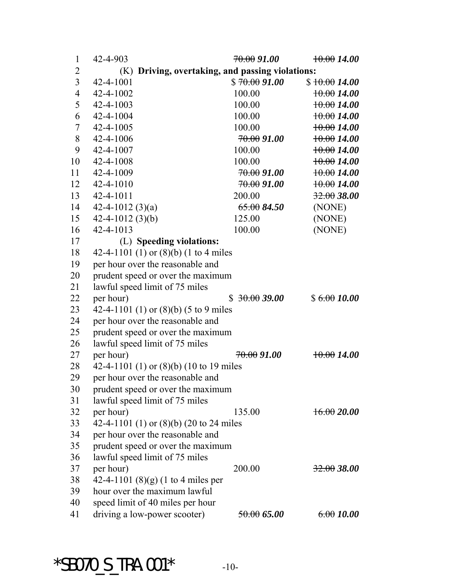| $\mathbf{1}$     | 42-4-903                                         | <del>70.00</del> 91.00 | 10.0014.00     |
|------------------|--------------------------------------------------|------------------------|----------------|
| $\overline{2}$   | (K) Driving, overtaking, and passing violations: |                        |                |
| $\overline{3}$   | 42-4-1001                                        | \$70.0091.00           | \$10.0014.00   |
| $\overline{4}$   | 42-4-1002                                        | 100.00                 | 10.0014.00     |
| 5                | 42-4-1003                                        | 100.00                 | 10.0014.00     |
| 6                | 42-4-1004                                        | 100.00                 | 10.0014.00     |
| $\boldsymbol{7}$ | 42-4-1005                                        | 100.00                 | 10.0014.00     |
| 8                | 42-4-1006                                        | <del>70.00</del> 91.00 | 10.0014.00     |
| 9                | $42 - 4 - 1007$                                  | 100.00                 | 10.0014.00     |
| 10               | 42-4-1008                                        | 100.00                 | 10.0014.00     |
| 11               | 42-4-1009                                        | 70.0091.00             | 10.0014.00     |
| 12               | 42-4-1010                                        | 70.0091.00             | 10.0014.00     |
| 13               | $42 - 4 - 1011$                                  | 200.00                 | $32.00$ 38.00  |
| 14               | 42-4-1012 $(3)(a)$                               | 65.0084.50             | (NONE)         |
| 15               | $42 - 4 - 1012$ (3)(b)                           | 125.00                 | (NONE)         |
| 16               | 42-4-1013                                        | 100.00                 | (NONE)         |
| 17               | (L) Speeding violations:                         |                        |                |
| 18               | 42-4-1101 (1) or (8)(b) (1 to 4 miles            |                        |                |
| 19               | per hour over the reasonable and                 |                        |                |
| 20               | prudent speed or over the maximum                |                        |                |
| 21               | lawful speed limit of 75 miles                   |                        |                |
| 22               | per hour)                                        | 30.0039.00<br>S.       | \$6.0010.00    |
| 23               | 42-4-1101 (1) or $(8)(b)$ (5 to 9 miles          |                        |                |
| 24               | per hour over the reasonable and                 |                        |                |
| 25               | prudent speed or over the maximum                |                        |                |
| 26               | lawful speed limit of 75 miles                   |                        |                |
| 27               | per hour)                                        | <del>70.00</del> 91.00 | 10.0014.00     |
| 28               | 42-4-1101 (1) or (8)(b) (10 to 19 miles          |                        |                |
| 29               | per hour over the reasonable and                 |                        |                |
| 30               | prudent speed or over the maximum                |                        |                |
| 31               | lawful speed limit of 75 miles                   |                        |                |
| 32               | per hour)                                        | 135.00                 | 16.0020.00     |
| 33               | 42-4-1101 (1) or $(8)(b)$ (20 to 24 miles        |                        |                |
| 34               | per hour over the reasonable and                 |                        |                |
| 35               | prudent speed or over the maximum                |                        |                |
| 36               | lawful speed limit of 75 miles                   |                        |                |
| 37               | per hour)                                        | 200.00                 | $32.00\,38.00$ |
| 38               | 42-4-1101 $(8)(g)$ (1 to 4 miles per             |                        |                |
| 39               | hour over the maximum lawful                     |                        |                |
| 40               | speed limit of 40 miles per hour                 |                        |                |
| 41               | driving a low-power scooter)                     | 50.0065.00             | 6.0010.00      |

 $*SBO70_S_TRA.001*$  -10-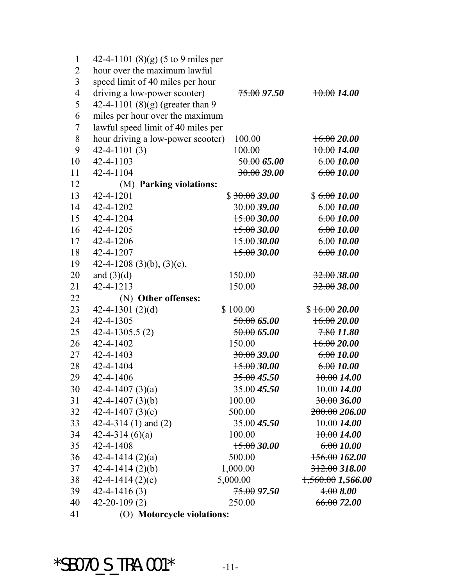| $\mathbf{1}$   | 42-4-1101 $(8)(g)$ (5 to 9 miles per |                        |                       |
|----------------|--------------------------------------|------------------------|-----------------------|
| $\overline{2}$ | hour over the maximum lawful         |                        |                       |
| $\overline{3}$ | speed limit of 40 miles per hour     |                        |                       |
| $\overline{4}$ | driving a low-power scooter)         | <del>75.00</del> 97.50 | 10.0014.00            |
| 5              | 42-4-1101 $(8)(g)$ (greater than 9   |                        |                       |
| 6              | miles per hour over the maximum      |                        |                       |
| $\overline{7}$ | lawful speed limit of 40 miles per   |                        |                       |
| 8              | hour driving a low-power scooter)    | 100.00                 | 16.0020.00            |
| 9              | $42 - 4 - 1101(3)$                   | 100.00                 | 10.0014.00            |
| 10             | 42-4-1103                            | 50.0065.00             | 6.0010.00             |
| 11             | 42-4-1104                            | 30.0039.00             | 6.0010.00             |
| 12             | (M) Parking violations:              |                        |                       |
| 13             | 42-4-1201                            | \$30.0039.00           | \$6.0010.00           |
| 14             | 42-4-1202                            | 30.0039.00             | 6.0010.00             |
| 15             | 42-4-1204                            | 15.0030.00             | 6.0010.00             |
| 16             | 42-4-1205                            | 15.0030.00             | 6.0010.00             |
| 17             | 42-4-1206                            | 15.0030.00             | 6.0010.00             |
| 18             | 42-4-1207                            | 15.0030.00             | 6.0010.00             |
| 19             | 42-4-1208 (3)(b), (3)(c),            |                        |                       |
| 20             | and $(3)(d)$                         | 150.00                 | 32.0038.00            |
| 21             | 42-4-1213                            | 150.00                 | $32.00$ 38.00         |
| 22             | (N) Other offenses:                  |                        |                       |
| 23             | 42-4-1301 $(2)(d)$                   | \$100.00               | \$16.0020.00          |
| 24             | 42-4-1305                            | 50.0065.00             | 16.0020.00            |
| 25             | $42 - 4 - 1305.5(2)$                 | 50.0065.00             | $7.80$ 11.80          |
| 26             | 42-4-1402                            | 150.00                 | 16.0020.00            |
| 27             | 42-4-1403                            | 30.0039.00             | 6.0010.00             |
| 28             | 42-4-1404                            | 15.0030.00             | 6.0010.00             |
| 29             | 42-4-1406                            | $35.00$ 45.50          | 10.0014.00            |
| 30             | 42-4-1407 $(3)(a)$                   | $35.00$ 45.50          | 10.0014.00            |
| 31             | 42-4-1407 $(3)(b)$                   | 100.00                 | 30.0036.00            |
| 32             | 42-4-1407 $(3)(c)$                   | 500.00                 | 200.00206.00          |
| 33             | 42-4-314 (1) and (2)                 | 35.0045.50             | 10.0014.00            |
| 34             | 42-4-314 $(6)(a)$                    | 100.00                 | 10.0014.00            |
| 35             | 42-4-1408                            | 15.0030.00             | 6.0010.00             |
| 36             | $42 - 4 - 1414(2)(a)$                | 500.00                 | 156.00162.00          |
| 37             | $42 - 4 - 1414(2)(b)$                | 1,000.00               | $312.00$ 318.00       |
| 38             | $42 - 4 - 1414(2)(c)$                | 5,000.00               | $1,560.00$ $1,566.00$ |
| 39             | $42 - 4 - 1416(3)$                   | <del>75.00</del> 97.50 | 4.008.00              |
| 40             | $42 - 20 - 109(2)$                   | 250.00                 | 66.0072.00            |
| 41             | (O) Motorcycle violations:           |                        |                       |
|                |                                      |                        |                       |

 $*SBO70_S_TRA.001*$  -11-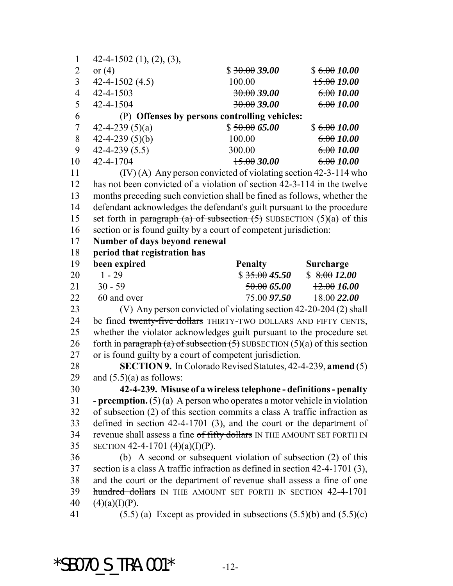| $\mathbf{1}$   | $42-4-1502$ (1), (2), (3),                                                       |                        |                  |
|----------------|----------------------------------------------------------------------------------|------------------------|------------------|
| $\overline{2}$ | or $(4)$                                                                         | \$30.0039.00           | \$6.0010.00      |
| $\overline{3}$ | $42 - 4 - 1502(4.5)$                                                             | 100.00                 | 15.0019.00       |
| $\overline{4}$ | 42-4-1503                                                                        | 30.0039.00             | 6.0010.00        |
| 5              | 42-4-1504                                                                        | 30.0039.00             | 6.0010.00        |
| 6              | (P) Offenses by persons controlling vehicles:                                    |                        |                  |
| $\tau$         | 42-4-239 $(5)(a)$                                                                | \$50.0065.00           | \$6.0010.00      |
| 8              | 42-4-239 $(5)(b)$                                                                | 100.00                 | 6.0010.00        |
| 9              | $42 - 4 - 239(5.5)$                                                              | 300.00                 | 6.0010.00        |
| 10             | 42-4-1704                                                                        | 15.0030.00             | 6.0010.00        |
| 11             | $(IV)$ (A) Any person convicted of violating section 42-3-114 who                |                        |                  |
| 12             | has not been convicted of a violation of section 42-3-114 in the twelve          |                        |                  |
| 13             | months preceding such conviction shall be fined as follows, whether the          |                        |                  |
| 14             | defendant acknowledges the defendant's guilt pursuant to the procedure           |                        |                  |
| 15             | set forth in paragraph (a) of subsection $(5)$ SUBSECTION $(5)(a)$ of this       |                        |                  |
| 16             | section or is found guilty by a court of competent jurisdiction:                 |                        |                  |
| 17             | Number of days beyond renewal                                                    |                        |                  |
| 18             | period that registration has                                                     |                        |                  |
| 19             | been expired                                                                     | <b>Penalty</b>         | <b>Surcharge</b> |
| 20             | $1 - 29$                                                                         | \$35.0045.50           | \$8.0012.00      |
| 21             | $30 - 59$                                                                        | <del>50.00</del> 65.00 | 12.0016.00       |
| 22             | 60 and over                                                                      |                        | 18.0022.00       |
| 23             | (V) Any person convicted of violating section 42-20-204 (2) shall                |                        |                  |
| 24             | be fined twenty-five dollars THIRTY-TWO DOLLARS AND FIFTY CENTS,                 |                        |                  |
| 25             | whether the violator acknowledges guilt pursuant to the procedure set            |                        |                  |
| 26             | forth in paragraph (a) of subsection $(5)$ SUBSECTION $(5)(a)$ of this section   |                        |                  |
| 27             | or is found guilty by a court of competent jurisdiction.                         |                        |                  |
| 28             | SECTION 9. In Colorado Revised Statutes, 42-4-239, amend (5)                     |                        |                  |
| 29             | and $(5.5)(a)$ as follows:                                                       |                        |                  |
| 30             | 42-4-239. Misuse of a wireless telephone - definitions - penalty                 |                        |                  |
| 31             | <b>- preemption.</b> $(5)(a)$ A person who operates a motor vehicle in violation |                        |                  |
| 32             | of subsection (2) of this section commits a class A traffic infraction as        |                        |                  |
| 33             | defined in section $42-4-1701$ (3), and the court or the department of           |                        |                  |
| 34             | revenue shall assess a fine of fifty dollars IN THE AMOUNT SET FORTH IN          |                        |                  |
| 35             | SECTION 42-4-1701 (4)(a)(I)(P).                                                  |                        |                  |
| 36             | (b) A second or subsequent violation of subsection $(2)$ of this                 |                        |                  |
| 37             | section is a class A traffic infraction as defined in section 42-4-1701 (3),     |                        |                  |
| 38             | and the court or the department of revenue shall assess a fine of one            |                        |                  |
| 39             | hundred dollars IN THE AMOUNT SET FORTH IN SECTION 42-4-1701                     |                        |                  |
| 40             | $(4)(a)(I)(P)$ .                                                                 |                        |                  |
| 41             | $(5.5)$ (a) Except as provided in subsections $(5.5)(b)$ and $(5.5)(c)$          |                        |                  |
|                |                                                                                  |                        |                  |

 $*SBO70_S_TRA.001*$  -12-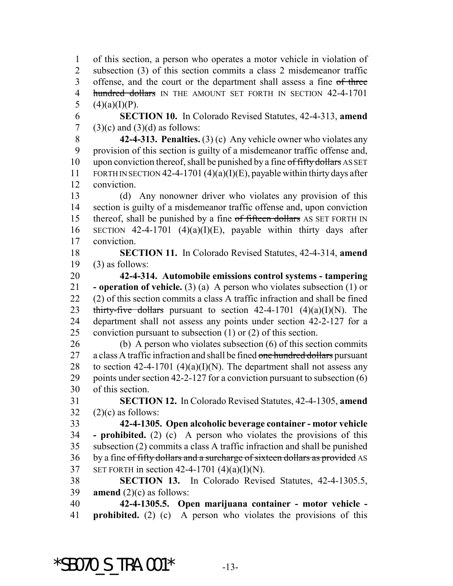of this section, a person who operates a motor vehicle in violation of subsection (3) of this section commits a class 2 misdemeanor traffic 3 offense, and the court or the department shall assess a fine of three 4 hundred dollars IN THE AMOUNT SET FORTH IN SECTION 42-4-1701 5  $(4)(a)(I)(P)$ .

 **SECTION 10.** In Colorado Revised Statutes, 42-4-313, **amend** 7 (3)(c) and (3)(d) as follows:

 **42-4-313. Penalties.** (3) (c) Any vehicle owner who violates any provision of this section is guilty of a misdemeanor traffic offense and, 10 upon conviction thereof, shall be punished by a fine of fifty dollars AS SET 11 FORTH IN SECTION 42-4-1701 (4)(a)(I)(E), payable within thirty days after conviction.

 (d) Any nonowner driver who violates any provision of this section is guilty of a misdemeanor traffic offense and, upon conviction 15 thereof, shall be punished by a fine of fifteen dollars AS SET FORTH IN 16 SECTION 42-4-1701 (4)(a)(I)(E), payable within thirty days after conviction.

 **SECTION 11.** In Colorado Revised Statutes, 42-4-314, **amend** (3) as follows:

 **42-4-314. Automobile emissions control systems - tampering - operation of vehicle.** (3) (a) A person who violates subsection (1) or (2) of this section commits a class A traffic infraction and shall be fined 23 thirty-five dollars pursuant to section  $42-4-1701$   $(4)(a)(I)(N)$ . The department shall not assess any points under section 42-2-127 for a conviction pursuant to subsection (1) or (2) of this section.

 (b) A person who violates subsection (6) of this section commits 27 a class A traffic infraction and shall be fined one hundred dollars pursuant 28 to section 42-4-1701 (4)(a)(I)(N). The department shall not assess any points under section 42-2-127 for a conviction pursuant to subsection (6) of this section.

 **SECTION 12.** In Colorado Revised Statutes, 42-4-1305, **amend** (2)(c) as follows:

 **42-4-1305. Open alcoholic beverage container - motor vehicle - prohibited.** (2) (c) A person who violates the provisions of this subsection (2) commits a class A traffic infraction and shall be punished 36 by a fine of fifty dollars and a surcharge of sixteen dollars as provided AS 37 SET FORTH in section 42-4-1701  $(4)(a)(I)(N)$ .

 **SECTION 13.** In Colorado Revised Statutes, 42-4-1305.5, **amend** (2)(c) as follows:

 **42-4-1305.5. Open marijuana container - motor vehicle - prohibited.** (2) (c) A person who violates the provisions of this

\*SB070 S TRA.001\*  $-13$ -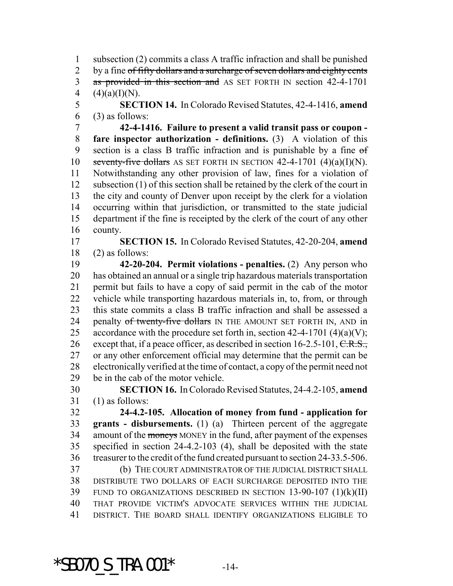subsection (2) commits a class A traffic infraction and shall be punished 2 by a fine of fifty dollars and a surcharge of seven dollars and eighty cents 3 as provided in this section and AS SET FORTH IN section 42-4-1701 4  $(4)(a)(I)(N)$ .

 **SECTION 14.** In Colorado Revised Statutes, 42-4-1416, **amend** (3) as follows:

 **42-4-1416. Failure to present a valid transit pass or coupon - fare inspector authorization - definitions.** (3) A violation of this section is a class B traffic infraction and is punishable by a fine of 10 seventy-five dollars AS SET FORTH IN SECTION  $42-4-1701$   $(4)(a)(I)(N)$ . Notwithstanding any other provision of law, fines for a violation of subsection (1) of this section shall be retained by the clerk of the court in the city and county of Denver upon receipt by the clerk for a violation occurring within that jurisdiction, or transmitted to the state judicial department if the fine is receipted by the clerk of the court of any other county.

 **SECTION 15.** In Colorado Revised Statutes, 42-20-204, **amend** (2) as follows:

 **42-20-204. Permit violations - penalties.** (2) Any person who has obtained an annual or a single trip hazardous materials transportation permit but fails to have a copy of said permit in the cab of the motor vehicle while transporting hazardous materials in, to, from, or through this state commits a class B traffic infraction and shall be assessed a 24 penalty of twenty-five dollars IN THE AMOUNT SET FORTH IN, AND in 25 accordance with the procedure set forth in, section  $42-4-1701$  (4)(a)(V); 26 except that, if a peace officer, as described in section  $16-2.5-101$ ,  $C.R.S.,$  or any other enforcement official may determine that the permit can be electronically verified at the time of contact, a copy of the permit need not be in the cab of the motor vehicle.

 **SECTION 16.** In Colorado Revised Statutes, 24-4.2-105, **amend** (1) as follows:

 **24-4.2-105. Allocation of money from fund - application for grants - disbursements.** (1) (a) Thirteen percent of the aggregate 34 amount of the moneys MONEY in the fund, after payment of the expenses specified in section 24-4.2-103 (4), shall be deposited with the state treasurer to the credit of the fund created pursuant to section 24-33.5-506. (b) THE COURT ADMINISTRATOR OF THE JUDICIAL DISTRICT SHALL DISTRIBUTE TWO DOLLARS OF EACH SURCHARGE DEPOSITED INTO THE FUND TO ORGANIZATIONS DESCRIBED IN SECTION 13-90-107 (1)(k)(II)

THAT PROVIDE VICTIM'S ADVOCATE SERVICES WITHIN THE JUDICIAL

DISTRICT. THE BOARD SHALL IDENTIFY ORGANIZATIONS ELIGIBLE TO

 $*$ SB070 S TRA.001 $*$  -14-